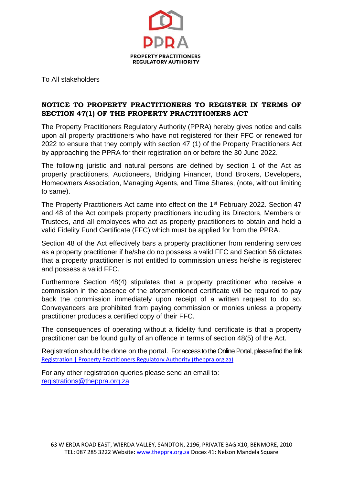

To All stakeholders

# **NOTICE TO PROPERTY PRACTITIONERS TO REGISTER IN TERMS OF SECTION 47(1) OF THE PROPERTY PRACTITIONERS ACT**

The Property Practitioners Regulatory Authority (PPRA) hereby gives notice and calls upon all property practitioners who have not registered for their FFC or renewed for 2022 to ensure that they comply with section 47 (1) of the Property Practitioners Act by approaching the PPRA for their registration on or before the 30 June 2022.

The following juristic and natural persons are defined by section 1 of the Act as property practitioners, Auctioneers, Bridging Financer, Bond Brokers, Developers, Homeowners Association, Managing Agents, and Time Shares, (note, without limiting to same).

The Property Practitioners Act came into effect on the 1<sup>st</sup> February 2022. Section 47 and 48 of the Act compels property practitioners including its Directors, Members or Trustees, and all employees who act as property practitioners to obtain and hold a valid Fidelity Fund Certificate (FFC) which must be applied for from the PPRA.

Section 48 of the Act effectively bars a property practitioner from rendering services as a property practitioner if he/she do no possess a valid FFC and Section 56 dictates that a property practitioner is not entitled to commission unless he/she is registered and possess a valid FFC.

Furthermore Section 48(4) stipulates that a property practitioner who receive a commission in the absence of the aforementioned certificate will be required to pay back the commission immediately upon receipt of a written request to do so. Conveyancers are prohibited from paying commission or monies unless a property practitioner produces a certified copy of their FFC.

The consequences of operating without a fidelity fund certificate is that a property practitioner can be found guilty of an offence in terms of section 48(5) of the Act.

Registration should be done on the portal. For access to the Online Portal, please find the link [Registration | Property Practitioners Regulatory Authority \(theppra.org.za\)](https://theppra.org.za/myffc/registration)

For any other registration queries please send an email to: [registrations@theppra.org.za](mailto:registrations@theppra.org.za).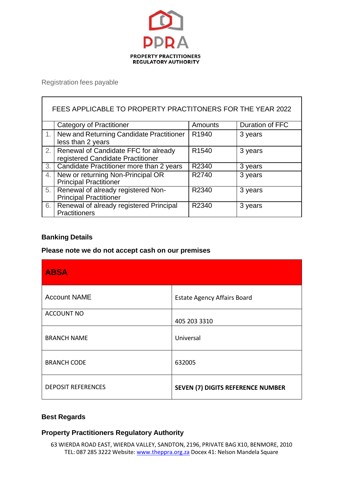

Registration fees payable

 $\mathbf{r}$ 

| FEES APPLICABLE TO PROPERTY PRACTITONERS FOR THE YEAR 2022 |                                          |                   |                 |  |
|------------------------------------------------------------|------------------------------------------|-------------------|-----------------|--|
|                                                            | <b>Category of Practitioner</b>          | Amounts           | Duration of FFC |  |
|                                                            | New and Returning Candidate Practitioner | R <sub>1940</sub> | 3 years         |  |
|                                                            | less than 2 years                        |                   |                 |  |
| 2.                                                         | Renewal of Candidate FFC for already     | R <sub>1540</sub> | 3 years         |  |
|                                                            | registered Candidate Practitioner        |                   |                 |  |
| 3.                                                         | Candidate Practitioner more than 2 years | R2340             | 3 years         |  |
| 4.                                                         | New or returning Non-Principal OR        | R2740             | 3 years         |  |
|                                                            | <b>Principal Practitioner</b>            |                   |                 |  |
| 5.                                                         | Renewal of already registered Non-       | R2340             | 3 years         |  |
|                                                            | <b>Principal Practitioner</b>            |                   |                 |  |
| 6.                                                         | Renewal of already registered Principal  | R2340             | 3 years         |  |
|                                                            | Practitioners                            |                   |                 |  |

### **Banking Details**

### **Please note we do not accept cash on our premises**

| <b>ABSA</b>               |                                          |
|---------------------------|------------------------------------------|
| <b>Account NAME</b>       | <b>Estate Agency Affairs Board</b>       |
| <b>ACCOUNT NO</b>         | 405 203 3310                             |
| <b>BRANCH NAME</b>        | Universal                                |
| <b>BRANCH CODE</b>        | 632005                                   |
| <b>DEPOSIT REFERENCES</b> | <b>SEVEN (7) DIGITS REFERENCE NUMBER</b> |

# **Best Regards**

# **Property Practitioners Regulatory Authority**

63 WIERDA ROAD EAST, WIERDA VALLEY, SANDTON, 2196, PRIVATE BAG X10, BENMORE, 2010 TEL: 087 285 3222 Website: [www.theppra.org.za](http://www.theppra.org.za/) Docex 41: Nelson Mandela Square